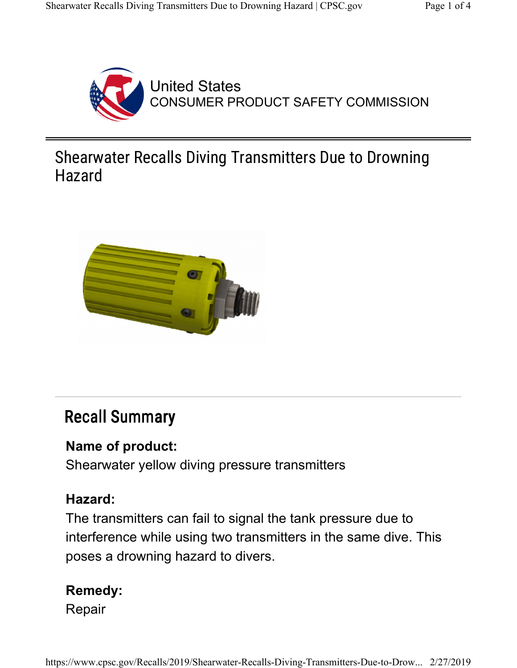

United States CONSUMER PRODUCT SAFETY COMMISSION

## Shearwater Recalls Diving Transmitters Due to Drowning Hazard



# Recall Summary

#### Name of product:

Shearwater yellow diving pressure transmitters

#### Hazard:

The transmitters can fail to signal the tank pressure due to interference while using two transmitters in the same dive. This poses a drowning hazard to divers.

## Remedy:

Repair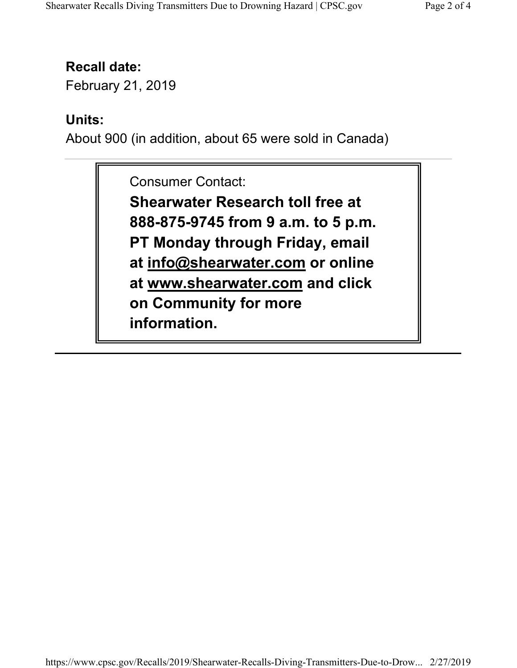### Recall date:

February 21, 2019

### Units:

About 900 (in addition, about 65 were sold in Canada)

Consumer Contact:

Shearwater Research toll free at 888-875-9745 from 9 a.m. to 5 p.m. PT Monday through Friday, email at info@shearwater.com or online at www.shearwater.com and click on Community for more information.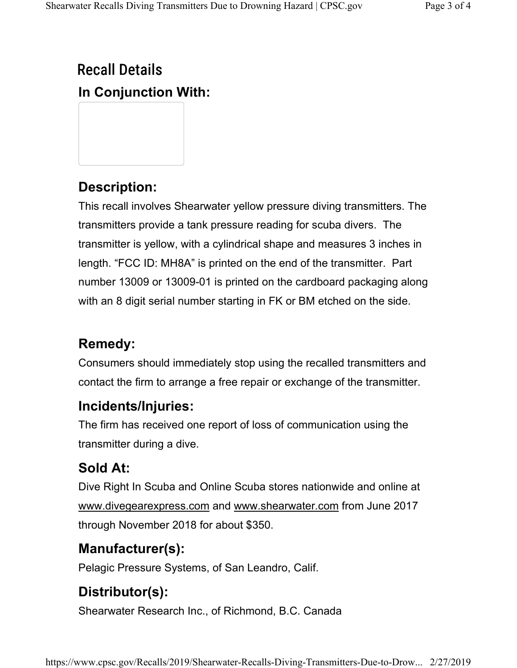# Recall Details In Conjunction With:

## Description:

This recall involves Shearwater yellow pressure diving transmitters. The transmitters provide a tank pressure reading for scuba divers. The transmitter is yellow, with a cylindrical shape and measures 3 inches in length. "FCC ID: MH8A" is printed on the end of the transmitter. Part number 13009 or 13009-01 is printed on the cardboard packaging along with an 8 digit serial number starting in FK or BM etched on the side.

## Remedy:

Consumers should immediately stop using the recalled transmitters and contact the firm to arrange a free repair or exchange of the transmitter.

#### Incidents/Injuries:

The firm has received one report of loss of communication using the transmitter during a dive.

## Sold At:

Dive Right In Scuba and Online Scuba stores nationwide and online at www.divegearexpress.com and www.shearwater.com from June 2017 through November 2018 for about \$350.

## Manufacturer(s):

Pelagic Pressure Systems, of San Leandro, Calif.

## Distributor(s):

Shearwater Research Inc., of Richmond, B.C. Canada